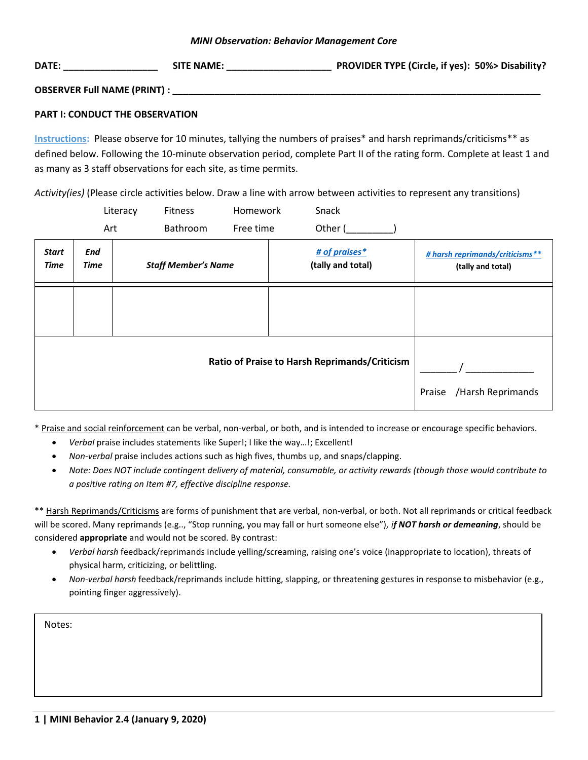### *MINI Observation: Behavior Management Core*

| DATE:                               | <b>SITE NAME:</b> | PROVIDER TYPE (Circle, if yes): 50%> Disability? |
|-------------------------------------|-------------------|--------------------------------------------------|
| <b>OBSERVER Full NAME (PRINT) :</b> |                   |                                                  |

## **PART I: CONDUCT THE OBSERVATION**

**Instructions:** Please observe for 10 minutes, tallying the numbers of praises\* and harsh reprimands/criticisms\*\* as defined below. Following the 10-minute observation period, complete Part II of the rating form. Complete at least 1 and as many as 3 staff observations for each site, as time permits.

*Activity(ies)* (Please circle activities below. Draw a line with arrow between activities to represent any transitions)

|               |             | Literacy                    | Fitness                    | Homework  | Snack                              |                                                      |
|---------------|-------------|-----------------------------|----------------------------|-----------|------------------------------------|------------------------------------------------------|
|               | Art         |                             | Bathroom                   | Free time | Other (                            |                                                      |
| Start<br>Time | End<br>Time |                             | <b>Staff Member's Name</b> |           | # of praises*<br>(tally and total) | # harsh reprimands/criticisms**<br>(tally and total) |
|               |             |                             |                            |           |                                    |                                                      |
|               |             | /Harsh Reprimands<br>Praise |                            |           |                                    |                                                      |

\* Praise and social reinforcement can be verbal, non-verbal, or both, and is intended to increase or encourage specific behaviors.

- *Verbal* praise includes statements like Super!; I like the way…!; Excellent!
- *Non-verbal* praise includes actions such as high fives, thumbs up, and snaps/clapping.
- *Note: Does NOT include contingent delivery of material, consumable, or activity rewards (though those would contribute to a positive rating on Item #7, effective discipline response.*

\*\* Harsh Reprimands/Criticisms are forms of punishment that are verbal, non-verbal, or both. Not all reprimands or critical feedback will be scored. Many reprimands (e.g.., "Stop running, you may fall or hurt someone else")*, if NOT harsh or demeaning*, should be considered **appropriate** and would not be scored. By contrast:

- *Verbal harsh* feedback/reprimands include yelling/screaming, raising one's voice (inappropriate to location), threats of physical harm, criticizing, or belittling.
- *Non-verbal harsh* feedback/reprimands include hitting, slapping, or threatening gestures in response to misbehavior (e.g., pointing finger aggressively).

Notes: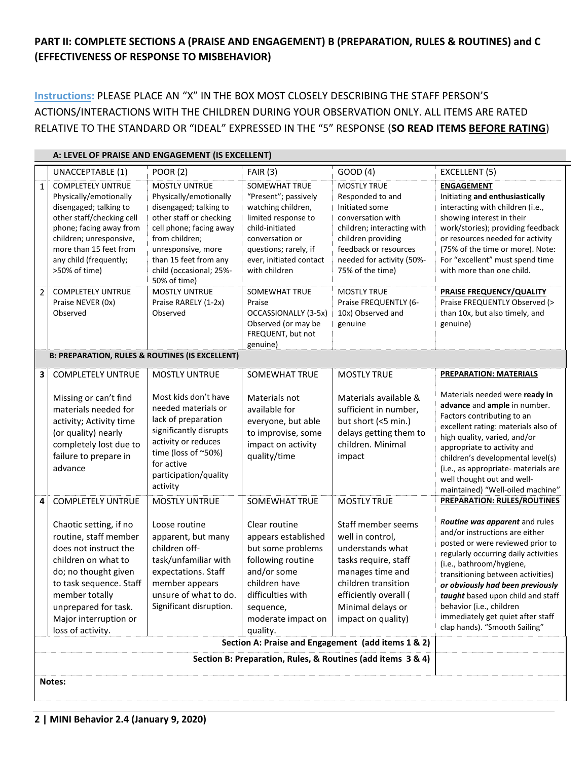# **PART II: COMPLETE SECTIONS A (PRAISE AND ENGAGEMENT) B (PREPARATION, RULES & ROUTINES) and C (EFFECTIVENESS OF RESPONSE TO MISBEHAVIOR)**

**Instructions:** PLEASE PLACE AN "X" IN THE BOX MOST CLOSELY DESCRIBING THE STAFF PERSON'S ACTIONS/INTERACTIONS WITH THE CHILDREN DURING YOUR OBSERVATION ONLY. ALL ITEMS ARE RATED RELATIVE TO THE STANDARD OR "IDEAL" EXPRESSED IN THE "5" RESPONSE (**SO READ ITEMS BEFORE RATING**)

|                                                             | A: LEVEL OF PRAISE AND ENGAGEMENT (IS EXCELLENT)                                                                                                                                                                                           |                                                                                                                                                                                                                                            |                                                                                                                                                                                                      |                                                                                                                                                                                                             |                                                                                                                                                                                                                                                                                                                                                                                          |  |  |  |  |
|-------------------------------------------------------------|--------------------------------------------------------------------------------------------------------------------------------------------------------------------------------------------------------------------------------------------|--------------------------------------------------------------------------------------------------------------------------------------------------------------------------------------------------------------------------------------------|------------------------------------------------------------------------------------------------------------------------------------------------------------------------------------------------------|-------------------------------------------------------------------------------------------------------------------------------------------------------------------------------------------------------------|------------------------------------------------------------------------------------------------------------------------------------------------------------------------------------------------------------------------------------------------------------------------------------------------------------------------------------------------------------------------------------------|--|--|--|--|
|                                                             | UNACCEPTABLE (1)                                                                                                                                                                                                                           | <b>POOR (2)</b>                                                                                                                                                                                                                            | FAIR(3)                                                                                                                                                                                              | GOOD (4)                                                                                                                                                                                                    | EXCELLENT (5)                                                                                                                                                                                                                                                                                                                                                                            |  |  |  |  |
| $\mathbf{1}$                                                | <b>COMPLETELY UNTRUE</b><br>Physically/emotionally<br>disengaged; talking to<br>other staff/checking cell<br>phone; facing away from<br>children; unresponsive,<br>more than 15 feet from<br>any child (frequently;<br>>50% of time)       | <b>MOSTLY UNTRUE</b><br>Physically/emotionally<br>disengaged; talking to<br>other staff or checking<br>cell phone; facing away<br>from children;<br>unresponsive, more<br>than 15 feet from any<br>child (occasional; 25%-<br>50% of time) | <b>SOMEWHAT TRUE</b><br>"Present"; passively<br>watching children,<br>limited response to<br>child-initiated<br>conversation or<br>questions; rarely, if<br>ever, initiated contact<br>with children | <b>MOSTLY TRUE</b><br>Responded to and<br>Initiated some<br>conversation with<br>children; interacting with<br>children providing<br>feedback or resources<br>needed for activity (50%-<br>75% of the time) | <b>ENGAGEMENT</b><br>Initiating and enthusiastically<br>interacting with children (i.e.,<br>showing interest in their<br>work/stories); providing feedback<br>or resources needed for activity<br>(75% of the time or more). Note:<br>For "excellent" must spend time<br>with more than one child.                                                                                       |  |  |  |  |
| $\overline{2}$                                              | <b>COMPLETELY UNTRUE</b><br>Praise NEVER (0x)<br>Observed                                                                                                                                                                                  | <b>MOSTLY UNTRUE</b><br>Praise RARELY (1-2x)<br>Observed                                                                                                                                                                                   | SOMEWHAT TRUE<br>Praise<br>OCCASSIONALLY (3-5x)<br>Observed (or may be<br>FREQUENT, but not<br>genuine)                                                                                              | <b>MOSTLY TRUE</b><br>Praise FREQUENTLY (6-<br>10x) Observed and<br>genuine                                                                                                                                 | PRAISE FREQUENCY/QUALITY<br>Praise FREQUENTLY Observed (><br>than 10x, but also timely, and<br>genuine)                                                                                                                                                                                                                                                                                  |  |  |  |  |
|                                                             | <b>B: PREPARATION, RULES &amp; ROUTINES (IS EXCELLENT)</b>                                                                                                                                                                                 |                                                                                                                                                                                                                                            |                                                                                                                                                                                                      |                                                                                                                                                                                                             |                                                                                                                                                                                                                                                                                                                                                                                          |  |  |  |  |
| 3                                                           | <b>COMPLETELY UNTRUE</b>                                                                                                                                                                                                                   | <b>MOSTLY UNTRUE</b>                                                                                                                                                                                                                       | <b>SOMEWHAT TRUE</b>                                                                                                                                                                                 | <b>MOSTLY TRUE</b>                                                                                                                                                                                          | <b>PREPARATION: MATERIALS</b>                                                                                                                                                                                                                                                                                                                                                            |  |  |  |  |
|                                                             | Missing or can't find<br>materials needed for<br>activity; Activity time<br>(or quality) nearly<br>completely lost due to<br>failure to prepare in<br>advance                                                                              | Most kids don't have<br>needed materials or<br>lack of preparation<br>significantly disrupts<br>activity or reduces<br>time (loss of ~50%)<br>for active<br>participation/quality<br>activity                                              | Materials not<br>available for<br>everyone, but able<br>to improvise, some<br>impact on activity<br>quality/time                                                                                     | Materials available &<br>sufficient in number,<br>but short (<5 min.)<br>delays getting them to<br>children. Minimal<br>impact                                                                              | Materials needed were ready in<br>advance and ample in number.<br>Factors contributing to an<br>excellent rating: materials also of<br>high quality, varied, and/or<br>appropriate to activity and<br>children's developmental level(s)<br>(i.e., as appropriate- materials are<br>well thought out and well-<br>maintained) "Well-oiled machine"                                        |  |  |  |  |
| 4                                                           | <b>COMPLETELY UNTRUE</b>                                                                                                                                                                                                                   | <b>MOSTLY UNTRUE</b>                                                                                                                                                                                                                       | SOMEWHAT TRUE                                                                                                                                                                                        | <b>MOSTLY TRUE</b>                                                                                                                                                                                          | <b>PREPARATION: RULES/ROUTINES</b>                                                                                                                                                                                                                                                                                                                                                       |  |  |  |  |
|                                                             | Chaotic setting, if no<br>routine, staff member<br>does not instruct the<br>children on what to<br>do; no thought given<br>to task sequence. Staff<br>member totally<br>unprepared for task.<br>Major interruption or<br>loss of activity. | Loose routine<br>apparent, but many<br>children off-<br>task/unfamiliar with<br>expectations. Staff<br>member appears<br>unsure of what to do.<br>Significant disruption.                                                                  | Clear routine<br>appears established<br>but some problems<br>following routine<br>and/or some<br>children have<br>difficulties with<br>sequence,<br>moderate impact on<br>quality.                   | Staff member seems<br>well in control,<br>understands what<br>tasks require, staff<br>manages time and<br>children transition<br>efficiently overall (<br>Minimal delays or<br>impact on quality)           | Routine was apparent and rules<br>and/or instructions are either<br>posted or were reviewed prior to<br>regularly occurring daily activities<br>(i.e., bathroom/hygiene,<br>transitioning between activities)<br>or obviously had been previously<br>taught based upon child and staff<br>behavior (i.e., children<br>immediately get quiet after staff<br>clap hands). "Smooth Sailing" |  |  |  |  |
|                                                             |                                                                                                                                                                                                                                            |                                                                                                                                                                                                                                            |                                                                                                                                                                                                      | Section A: Praise and Engagement (add items 1 & 2)                                                                                                                                                          |                                                                                                                                                                                                                                                                                                                                                                                          |  |  |  |  |
| Section B: Preparation, Rules, & Routines (add items 3 & 4) |                                                                                                                                                                                                                                            |                                                                                                                                                                                                                                            |                                                                                                                                                                                                      |                                                                                                                                                                                                             |                                                                                                                                                                                                                                                                                                                                                                                          |  |  |  |  |
|                                                             | Notes:                                                                                                                                                                                                                                     |                                                                                                                                                                                                                                            |                                                                                                                                                                                                      |                                                                                                                                                                                                             |                                                                                                                                                                                                                                                                                                                                                                                          |  |  |  |  |

**2 | MINI Behavior 2.4 (January 9, 2020)**